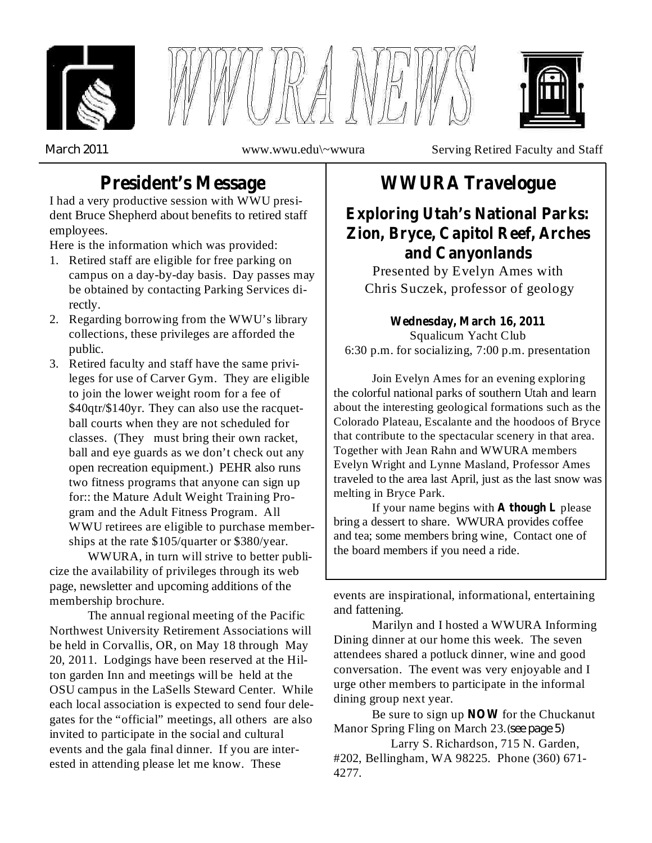





*March 2011*

www.wwu.edu\~wwura Serving Retired Faculty and Staff

# **President's Message**

I had a very productive session with WWU president Bruce Shepherd about benefits to retired staff employees.

Here is the information which was provided:

- 1. Retired staff are eligible for free parking on campus on a day-by-day basis. Day passes may be obtained by contacting Parking Services directly.
- 2. Regarding borrowing from the WWU's library collections, these privileges are afforded the public.
- 3. Retired faculty and staff have the same privileges for use of Carver Gym. They are eligible to join the lower weight room for a fee of \$40qtr/\$140yr. They can also use the racquetball courts when they are not scheduled for classes. (They must bring their own racket, ball and eye guards as we don't check out any open recreation equipment.) PEHR also runs two fitness programs that anyone can sign up for:: the Mature Adult Weight Training Program and the Adult Fitness Program. All WWU retirees are eligible to purchase memberships at the rate \$105/quarter or \$380/year.

WWURA, in turn will strive to better publicize the availability of privileges through its web page, newsletter and upcoming additions of the membership brochure.

The annual regional meeting of the Pacific Northwest University Retirement Associations will be held in Corvallis, OR, on May 18 through May 20, 2011. Lodgings have been reserved at the Hilton garden Inn and meetings will be held at the OSU campus in the LaSells Steward Center. While each local association is expected to send four delegates for the "official" meetings, all others are also invited to participate in the social and cultural events and the gala final dinner. If you are interested in attending please let me know. These

# **WWURA Travelogue**

**Exploring Utah's National Parks: Zion, Bryce, Capitol Reef, Arches and Canyonlands**

Presented by Evelyn Ames with Chris Suczek, professor of geology

Squalicum Yacht Club 6:30 p.m. for socializing, 7:00 p.m. presentation **Wednesday, March 16, 2011**

Join Evelyn Ames for an evening exploring the colorful national parks of southern Utah and learn about the interesting geological formations such as the Colorado Plateau, Escalante and the hoodoos of Bryce that contribute to the spectacular scenery in that area. Together with Jean Rahn and WWURA members Evelyn Wright and Lynne Masland, Professor Ames traveled to the area last April, just as the last snow was melting in Bryce Park.

If your name begins with **A** though **L** please bring a dessert to share. WWURA provides coffee and tea; some members bring wine, Contact one of the board members if you need a ride.

events are inspirational, informational, entertaining and fattening.

Marilyn and I hosted a WWURA Informing Dining dinner at our home this week. The seven attendees shared a potluck dinner, wine and good conversation. The event was very enjoyable and I urge other members to participate in the informal dining group next year.

*(see page 5)* Manor Spring Fling on March 23. Be sure to sign up **NOW** for the Chuckanut

Larry S. Richardson, 715 N. Garden, #202, Bellingham, WA 98225. Phone (360) 671- 4277.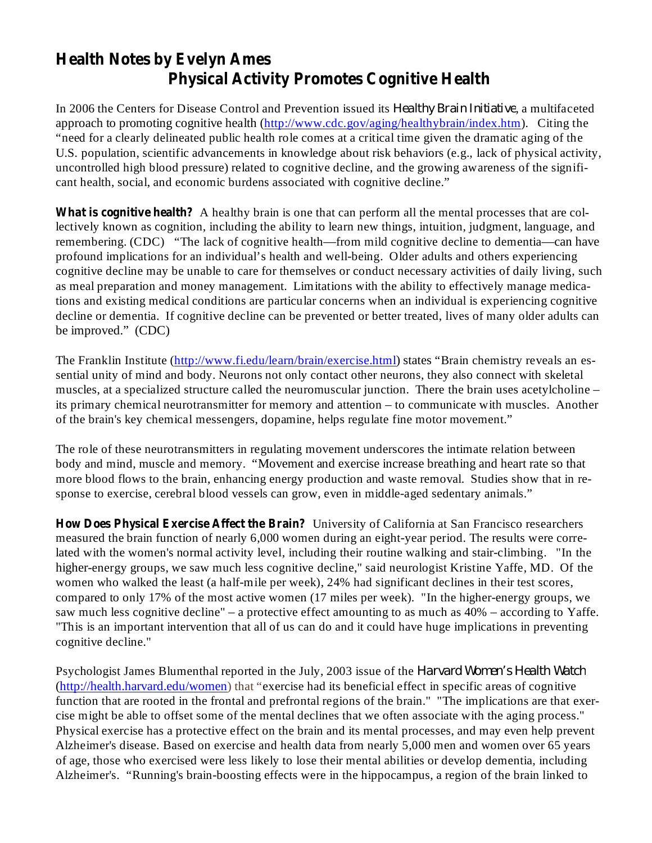## **Health Notes by Evelyn Ames Physical Activity Promotes Cognitive Health**

In 2006 the Centers for Disease Control and Prevention issued its *Healthy Brain Initiative*, a multifaceted approach to promoting cognitive health (http://www.cdc.gov/aging/healthybrain/index.htm). Citing the "need for a clearly delineated public health role comes at a critical time given the dramatic aging of the U.S. population, scientific advancements in knowledge about risk behaviors (e.g., lack of physical activity, uncontrolled high blood pressure) related to cognitive decline, and the growing awareness of the significant health, social, and economic burdens associated with cognitive decline."

**What is cognitive health?** A healthy brain is one that can perform all the mental processes that are collectively known as cognition, including the ability to learn new things, intuition, judgment, language, and remembering. (CDC) "The lack of cognitive health—from mild cognitive decline to dementia—can have profound implications for an individual's health and well-being. Older adults and others experiencing cognitive decline may be unable to care for themselves or conduct necessary activities of daily living, such as meal preparation and money management. Limitations with the ability to effectively manage medications and existing medical conditions are particular concerns when an individual is experiencing cognitive decline or dementia. If cognitive decline can be prevented or better treated, lives of many older adults can be improved." (CDC)

The Franklin Institute (http://www.fi.edu/learn/brain/exercise.html) states "Brain chemistry reveals an essential unity of mind and body. Neurons not only contact other neurons, they also connect with skeletal muscles, at a specialized structure called the neuromuscular junction. There the brain uses acetylcholine – its primary chemical neurotransmitter for memory and attention – to communicate with muscles. Another of the brain's key chemical messengers, dopamine, helps regulate fine motor movement."

The role of these neurotransmitters in regulating movement underscores the intimate relation between body and mind, muscle and memory. "Movement and exercise increase breathing and heart rate so that more blood flows to the brain, enhancing energy production and waste removal. Studies show that in response to exercise, cerebral blood vessels can grow, even in middle-aged sedentary animals."

**How Does Physical Exercise Affect the Brain?** University of California at San Francisco researchers measured the brain function of nearly 6,000 women during an eight-year period. The results were correlated with the women's normal activity level, including their routine walking and stair-climbing. "In the higher-energy groups, we saw much less cognitive decline," said neurologist Kristine Yaffe, MD. Of the women who walked the least (a half-mile per week), 24% had significant declines in their test scores, compared to only 17% of the most active women (17 miles per week). "In the higher-energy groups, we saw much less cognitive decline" – a protective effect amounting to as much as 40% – according to Yaffe. "This is an important intervention that all of us can do and it could have huge implications in preventing cognitive decline."

Psychologist James Blumenthal reported in the July, 2003 issue of the *Harvard Women's Health Watch*(http://health.harvard.edu/women) that "exercise had its beneficial effect in specific areas of cognitive function that are rooted in the frontal and prefrontal regions of the brain." "The implications are that exercise might be able to offset some of the mental declines that we often associate with the aging process." Physical exercise has a protective effect on the brain and its mental processes, and may even help prevent Alzheimer's disease. Based on exercise and health data from nearly 5,000 men and women over 65 years of age, those who exercised were less likely to lose their mental abilities or develop dementia, including Alzheimer's. "Running's brain-boosting effects were in the hippocampus, a region of the brain linked to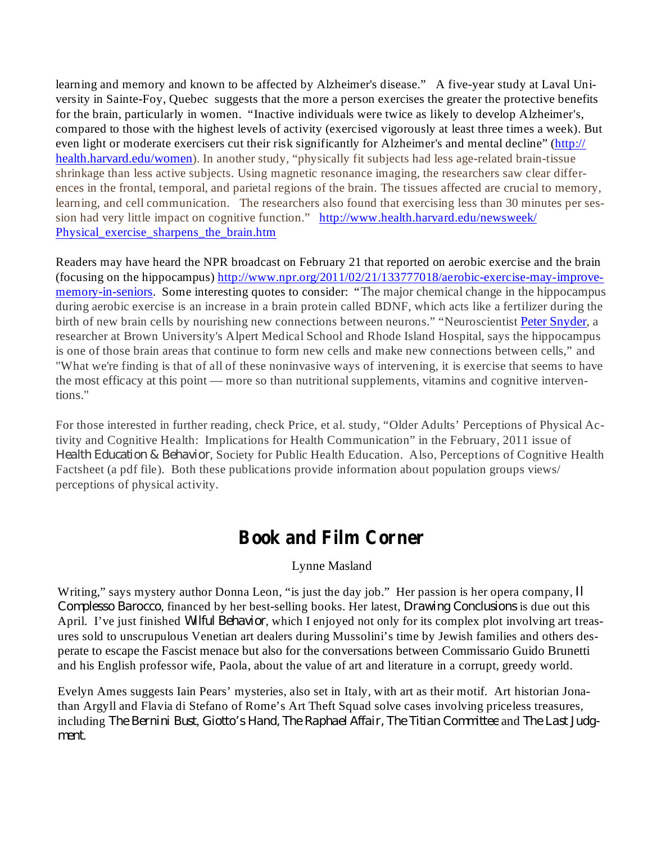learning and memory and known to be affected by Alzheimer's disease." A five-year study at Laval University in Sainte-Foy, Quebec suggests that the more a person exercises the greater the protective benefits for the brain, particularly in women. "Inactive individuals were twice as likely to develop Alzheimer's, compared to those with the highest levels of activity (exercised vigorously at least three times a week). But even light or moderate exercisers cut their risk significantly for Alzheimer's and mental decline" (http:// health.harvard.edu/women). In another study, "physically fit subjects had less age-related brain-tissue shrinkage than less active subjects. Using magnetic resonance imaging, the researchers saw clear differences in the frontal, temporal, and parietal regions of the brain. The tissues affected are crucial to memory, learning, and cell communication. The researchers also found that exercising less than 30 minutes per session had very little impact on cognitive function." http://www.health.harvard.edu/newsweek/ Physical exercise sharpens the brain.htm

Readers may have heard the NPR broadcast on February 21 that reported on aerobic exercise and the brain (focusing on the hippocampus) http://www.npr.org/2011/02/21/133777018/aerobic-exercise-may-improvememory-in-seniors. Some interesting quotes to consider: "The major chemical change in the hippocampus during aerobic exercise is an increase in a brain protein called BDNF, which acts like a fertilizer during the birth of new brain cells by nourishing new connections between neurons." "Neuroscientist Peter Snyder, a researcher at Brown University's Alpert Medical School and Rhode Island Hospital, says the hippocampus is one of those brain areas that continue to form new cells and make new connections between cells," and "What we're finding is that of all of these noninvasive ways of intervening, it is exercise that seems to have the most efficacy at this point — more so than nutritional supplements, vitamins and cognitive interventions."

For those interested in further reading, check Price, et al. study, "Older Adults' Perceptions of Physical Activity and Cognitive Health: Implications for Health Communication" in the February, 2011 issue of Health Education & Behavior, Society for Public Health Education. Also, Perceptions of Cognitive Health Factsheet (a pdf file). Both these publications provide information about population groups views/ perceptions of physical activity.

## **Book and Film Corner**

### Lynne Masland

Writing," says mystery author Donna Leon, "is just the day job." Her passion is her opera company, *Il Complesso Barocco*, financed by her best-selling books. Her latest, *Drawing Conclusions* is due out this April. I've just finished *Wilful Behavior*, which I enjoyed not only for its complex plot involving art treasures sold to unscrupulous Venetian art dealers during Mussolini's time by Jewish families and others desperate to escape the Fascist menace but also for the conversations between Commissario Guido Brunetti and his English professor wife, Paola, about the value of art and literature in a corrupt, greedy world.

Evelyn Ames suggests Iain Pears' mysteries, also set in Italy, with art as their motif. Art historian Jonathan Argyll and Flavia di Stefano of Rome's Art Theft Squad solve cases involving priceless treasures, *including The Bernini Bust, Giotto's Hand, The Raphael Affair, The Titian Committee and The Last Judg-*. *ment*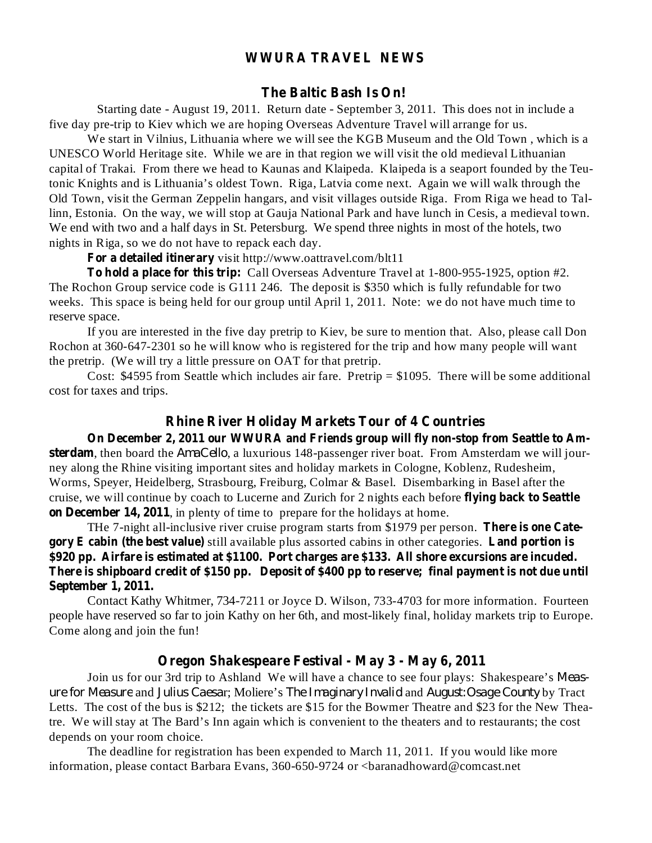### **WWURA TRAVEL NEWS**

#### **The Baltic Bash Is On!**

Starting date - August 19, 2011. Return date - September 3, 2011. This does not in include a five day pre-trip to Kiev which we are hoping Overseas Adventure Travel will arrange for us.

We start in Vilnius, Lithuania where we will see the KGB Museum and the Old Town , which is a UNESCO World Heritage site. While we are in that region we will visit the old medieval Lithuanian capital of Trakai. From there we head to Kaunas and Klaipeda. Klaipeda is a seaport founded by the Teutonic Knights and is Lithuania's oldest Town. Riga, Latvia come next. Again we will walk through the Old Town, visit the German Zeppelin hangars, and visit villages outside Riga. From Riga we head to Tallinn, Estonia. On the way, we will stop at Gauja National Park and have lunch in Cesis, a medieval town. We end with two and a half days in St. Petersburg. We spend three nights in most of the hotels, two nights in Riga, so we do not have to repack each day.

**For a detailed itinerary** visit http://www.oattravel.com/blt11

**To hold a place for this trip:** Call Overseas Adventure Travel at 1-800-955-1925, option #2. The Rochon Group service code is G111 246. The deposit is \$350 which is fully refundable for two weeks. This space is being held for our group until April 1, 2011. Note: we do not have much time to reserve space.

If you are interested in the five day pretrip to Kiev, be sure to mention that. Also, please call Don Rochon at 360-647-2301 so he will know who is registered for the trip and how many people will want the pretrip. (We will try a little pressure on OAT for that pretrip.

Cost: \$4595 from Seattle which includes air fare. Pretrip = \$1095. There will be some additional cost for taxes and trips.

#### **Rhine River Holiday Markets Tour of 4 Countries**

**On December 2, 2011 our WWURA and Friends group will fly non-stop from Seattle to Am**sterdam, then board the *AmaCello*, a luxurious 148-passenger river boat. From Amsterdam we will jour**flying back to Seattle** cruise, we will continue by coach to Lucerne and Zurich for 2 nights each before **on December 14, 2011** , in plenty of time to prepare for the holidays at home. ney along the Rhine visiting important sites and holiday markets in Cologne, Koblenz, Rudesheim, Worms, Speyer, Heidelberg, Strasbourg, Freiburg, Colmar & Basel. Disembarking in Basel after the

THe 7-night all-inclusive river cruise program starts from \$1979 per person. There is one Cate**gory E** cabin (the best value) still available plus assorted cabins in other categories. Land portion is **\$920 pp. Airfare is estimated at \$1100. Port charges are \$133. All shore excursions are incuded.** There is shipboard credit of \$150 pp. Deposit of \$400 pp to reserve; final payment is not due until **September 1, 2011.**

Contact Kathy Whitmer, 734-7211 or Joyce D. Wilson, 733-4703 for more information. Fourteen people have reserved so far to join Kathy on her 6th, and most-likely final, holiday markets trip to Europe. Come along and join the fun!

### **Oregon Shakespeare Festival - May 3 - May 6, 2011**

Join us for our 3rd trip to Ashland We will have a chance to see four plays: Shakespeare's *Measure for Measure* and *Julius Caesar*; Moliere's *The Imaginary Invalid* and *August:Osage County* by Tract Letts. The cost of the bus is \$212; the tickets are \$15 for the Bowmer Theatre and \$23 for the New Theatre. We will stay at The Bard's Inn again which is convenient to the theaters and to restaurants; the cost depends on your room choice.

The deadline for registration has been expended to March 11, 2011. If you would like more information, please contact Barbara Evans, 360-650-9724 or <br/>baranadhoward@comcast.net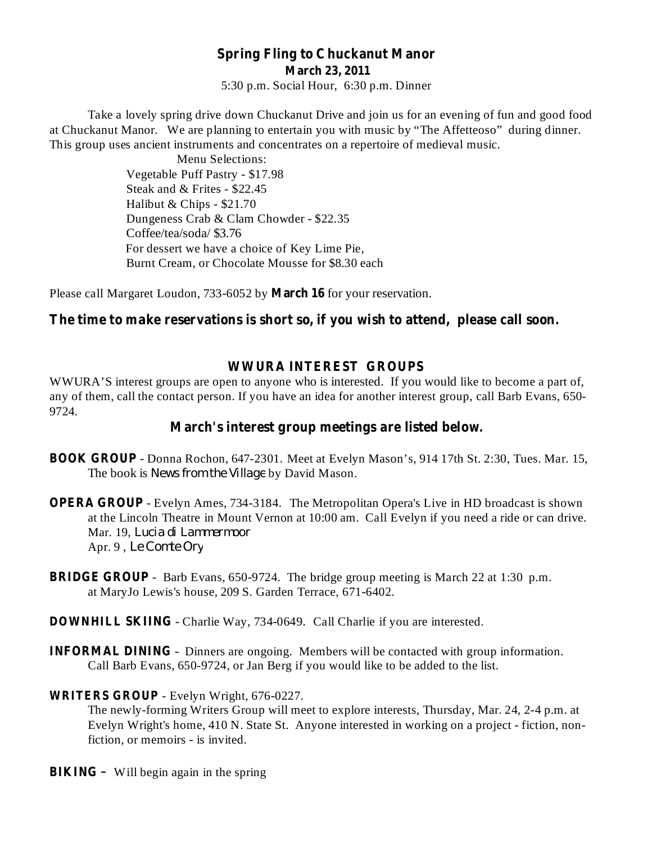## **Spring Fling to Chuckanut Manor March 23, 2011**

5:30 p.m. Social Hour, 6:30 p.m. Dinner

Take a lovely spring drive down Chuckanut Drive and join us for an evening of fun and good food at Chuckanut Manor. We are planning to entertain you with music by "The Affetteoso" during dinner. This group uses ancient instruments and concentrates on a repertoire of medieval music.

> Menu Selections: Vegetable Puff Pastry - \$17.98 Steak and & Frites - \$22.45 Halibut & Chips - \$21.70 Dungeness Crab & Clam Chowder - \$22.35 Coffee/tea/soda/ \$3.76 For dessert we have a choice of Key Lime Pie, Burnt Cream, or Chocolate Mousse for \$8.30 each

Please call Margaret Loudon, 733-6052 by **March 16** for your reservation.

### **The time to make reservations is short so, if you wish to attend, please call soon.**

### **WWURA INTEREST GROUPS**

WWURA'S interest groups are open to anyone who is interested. If you would like to become a part of, any of them, call the contact person. If you have an idea for another interest group, call Barb Evans, 650- 9724.

### **March's interest group meetings are listed below.**

- BOOK GROUP Donna Rochon, 647-2301. Meet at Evelyn Mason's, 914 17th St. 2:30, Tues. Mar. 15, The book is *News from the Village* by David Mason.
- **OPERA GROUP** Evelyn Ames, 734-3184. The Metropolitan Opera's Live in HD broadcast is shown at the Lincoln Theatre in Mount Vernon at 10:00 am. Call Evelyn if you need a ride or can drive. Mar. 19, *Lucia di Lammermoor* Apr. 9 , *Le Comte Ory*
- **BRIDGE GROUP** Barb Evans, 650-9724. The bridge group meeting is March 22 at 1:30 p.m. at MaryJo Lewis's house, 209 S. Garden Terrace, 671-6402.
- **DOWNHILL SKIING** Charlie Way, 734-0649. Call Charlie if you are interested.
- **INFORMAL DINING** Dinners are ongoing. Members will be contacted with group information. Call Barb Evans, 650-9724, or Jan Berg if you would like to be added to the list.

#### **WRITERS GROUP** - Evelyn Wright, 676-0227.

The newly-forming Writers Group will meet to explore interests, Thursday, Mar. 24, 2-4 p.m. at Evelyn Wright's home, 410 N. State St. Anyone interested in working on a project - fiction, nonfiction, or memoirs - is invited.

**BIKING** - Will begin again in the spring